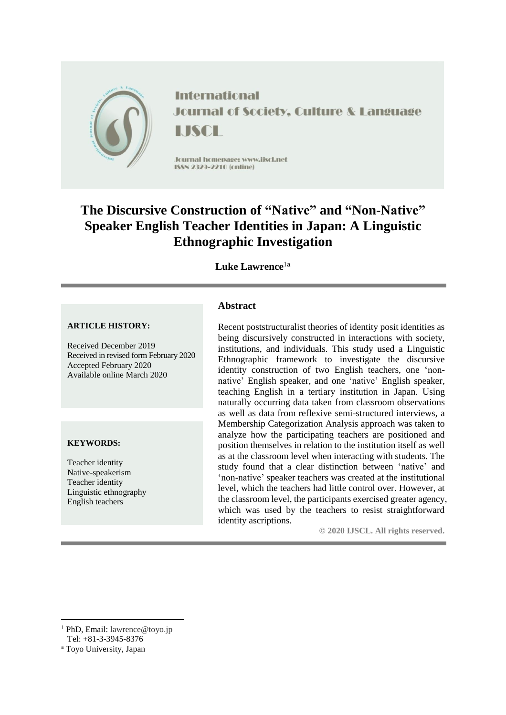

**International Journal of Society, Culture & Language** LISCH

Journal homepage: www.ijscl.net ISSN 2329-2210 (cnline)

# **The Discursive Construction of "Native" and "Non-Native" Speaker English Teacher Identities in Japan: A Linguistic Ethnographic Investigation**

**Luke Lawrence**<sup>1</sup>**<sup>a</sup>**

#### **ARTICLE HISTORY:**

Received December 2019 Received in revised form February 2020 Accepted February 2020 Available online March 2020

#### **KEYWORDS:**

Teacher identity Native-speakerism Teacher identity Linguistic ethnography English teachers

# **Abstract**

Recent poststructuralist theories of identity posit identities as being discursively constructed in interactions with society, institutions, and individuals. This study used a Linguistic Ethnographic framework to investigate the discursive identity construction of two English teachers, one 'nonnative' English speaker, and one 'native' English speaker, teaching English in a tertiary institution in Japan. Using naturally occurring data taken from classroom observations as well as data from reflexive semi-structured interviews, a Membership Categorization Analysis approach was taken to analyze how the participating teachers are positioned and position themselves in relation to the institution itself as well as at the classroom level when interacting with students. The study found that a clear distinction between 'native' and 'non-native' speaker teachers was created at the institutional level, which the teachers had little control over. However, at the classroom level, the participants exercised greater agency, which was used by the teachers to resist straightforward identity ascriptions.

**© 2020 IJSCL. All rights reserved.**

 $\overline{a}$ 

<sup>&</sup>lt;sup>1</sup> PhD, Email: lawrence@toyo.jp

Tel: +81-3-3945-8376

<sup>a</sup> Toyo University, Japan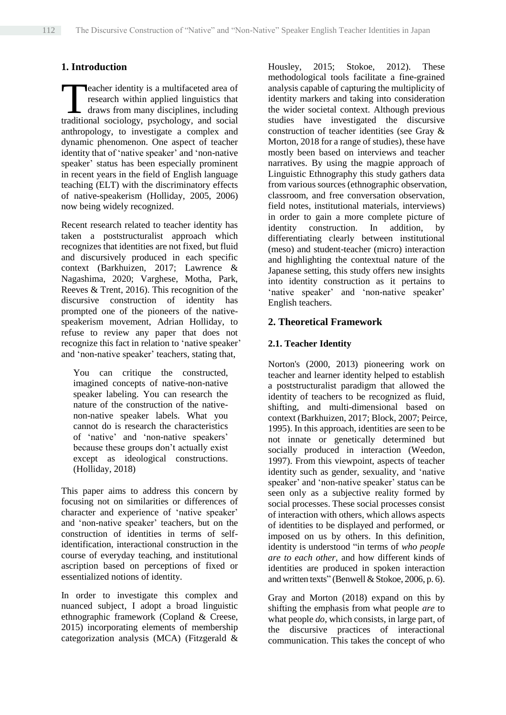# **1. Introduction**

eacher identity is a multifaceted area of research within applied linguistics that draws from many disciplines, including **the active of the society of the society of the society of the society of the sociology, psychology, and social**<br>Traditional sociology, psychology, and social anthropology, to investigate a complex and dynamic phenomenon. One aspect of teacher identity that of 'native speaker' and 'non-native speaker' status has been especially prominent in recent years in the field of English language teaching (ELT) with the discriminatory effects of native-speakerism (Holliday, 2005, 2006) now being widely recognized.

Recent research related to teacher identity has taken a poststructuralist approach which recognizes that identities are not fixed, but fluid and discursively produced in each specific context (Barkhuizen, 2017; Lawrence & Nagashima, 2020; Varghese, Motha, Park, Reeves & Trent, 2016). This recognition of the discursive construction of identity has prompted one of the pioneers of the nativespeakerism movement, Adrian Holliday, to refuse to review any paper that does not recognize this fact in relation to 'native speaker' and 'non-native speaker' teachers, stating that,

You can critique the constructed, imagined concepts of native-non-native speaker labeling. You can research the nature of the construction of the nativenon-native speaker labels. What you cannot do is research the characteristics of 'native' and 'non-native speakers' because these groups don't actually exist except as ideological constructions. (Holliday, 2018)

This paper aims to address this concern by focusing not on similarities or differences of character and experience of 'native speaker' and 'non-native speaker' teachers, but on the construction of identities in terms of selfidentification, interactional construction in the course of everyday teaching, and institutional ascription based on perceptions of fixed or essentialized notions of identity.

In order to investigate this complex and nuanced subject, I adopt a broad linguistic ethnographic framework (Copland & Creese, 2015) incorporating elements of membership categorization analysis (MCA) (Fitzgerald &

Housley, 2015; Stokoe, 2012). These methodological tools facilitate a fine-grained analysis capable of capturing the multiplicity of identity markers and taking into consideration the wider societal context. Although previous studies have investigated the discursive construction of teacher identities (see Gray & Morton, 2018 for a range of studies), these have mostly been based on interviews and teacher narratives. By using the magpie approach of Linguistic Ethnography this study gathers data from various sources (ethnographic observation, classroom, and free conversation observation, field notes, institutional materials, interviews) in order to gain a more complete picture of identity construction. In addition, by differentiating clearly between institutional (meso) and student-teacher (micro) interaction and highlighting the contextual nature of the Japanese setting, this study offers new insights into identity construction as it pertains to 'native speaker' and 'non-native speaker' English teachers.

# **2. Theoretical Framework**

# **2.1. Teacher Identity**

Norton's (2000, 2013) pioneering work on teacher and learner identity helped to establish a poststructuralist paradigm that allowed the identity of teachers to be recognized as fluid, shifting, and multi-dimensional based on context (Barkhuizen, 2017; Block, 2007; Peirce, 1995). In this approach, identities are seen to be not innate or genetically determined but socially produced in interaction (Weedon, 1997). From this viewpoint, aspects of teacher identity such as gender, sexuality, and 'native speaker' and 'non-native speaker' status can be seen only as a subjective reality formed by social processes. These social processes consist of interaction with others, which allows aspects of identities to be displayed and performed, or imposed on us by others. In this definition, identity is understood "in terms of *who people are to each other*, and how different kinds of identities are produced in spoken interaction and written texts" (Benwell & Stokoe, 2006, p. 6).

Gray and Morton (2018) expand on this by shifting the emphasis from what people *are* to what people *do*, which consists, in large part, of the discursive practices of interactional communication. This takes the concept of who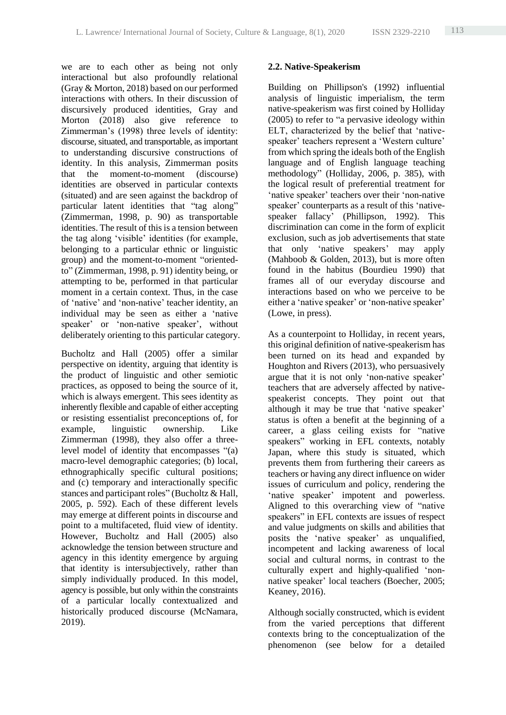we are to each other as being not only interactional but also profoundly relational (Gray & Morton, 2018) based on our performed interactions with others. In their discussion of discursively produced identities, Gray and Morton (2018) also give reference to Zimmerman's (1998) three levels of identity: discourse, situated, and transportable, as important to understanding discursive constructions of identity. In this analysis, Zimmerman posits that the moment-to-moment (discourse) identities are observed in particular contexts (situated) and are seen against the backdrop of particular latent identities that "tag along" (Zimmerman, 1998, p. 90) as transportable identities. The result of this is a tension between the tag along 'visible' identities (for example, belonging to a particular ethnic or linguistic group) and the moment-to-moment "orientedto" (Zimmerman, 1998, p. 91) identity being, or attempting to be, performed in that particular moment in a certain context. Thus, in the case of 'native' and 'non-native' teacher identity, an individual may be seen as either a 'native speaker' or 'non-native speaker', without deliberately orienting to this particular category.

Bucholtz and Hall (2005) offer a similar perspective on identity, arguing that identity is the product of linguistic and other semiotic practices, as opposed to being the source of it, which is always emergent. This sees identity as inherently flexible and capable of either accepting or resisting essentialist preconceptions of, for example, linguistic ownership. Like Zimmerman (1998), they also offer a threelevel model of identity that encompasses "(a) macro-level demographic categories; (b) local, ethnographically specific cultural positions; and (c) temporary and interactionally specific stances and participant roles" (Bucholtz & Hall, 2005, p. 592). Each of these different levels may emerge at different points in discourse and point to a multifaceted, fluid view of identity. However, Bucholtz and Hall (2005) also acknowledge the tension between structure and agency in this identity emergence by arguing that identity is intersubjectively, rather than simply individually produced. In this model, agency is possible, but only within the constraints of a particular locally contextualized and historically produced discourse (McNamara, 2019).

### **2.2. Native-Speakerism**

Building on Phillipson's (1992) influential analysis of linguistic imperialism, the term native-speakerism was first coined by Holliday (2005) to refer to "a pervasive ideology within ELT, characterized by the belief that 'nativespeaker' teachers represent a 'Western culture' from which spring the ideals both of the English language and of English language teaching methodology" (Holliday, 2006, p. 385), with the logical result of preferential treatment for 'native speaker' teachers over their 'non-native speaker' counterparts as a result of this 'nativespeaker fallacy' (Phillipson, 1992). This discrimination can come in the form of explicit exclusion, such as job advertisements that state that only 'native speakers' may apply (Mahboob & Golden, 2013), but is more often found in the habitus (Bourdieu 1990) that frames all of our everyday discourse and interactions based on who we perceive to be either a 'native speaker' or 'non-native speaker' (Lowe, in press).

As a counterpoint to Holliday, in recent years, this original definition of native-speakerism has been turned on its head and expanded by Houghton and Rivers (2013), who persuasively argue that it is not only 'non-native speaker' teachers that are adversely affected by nativespeakerist concepts. They point out that although it may be true that 'native speaker' status is often a benefit at the beginning of a career, a glass ceiling exists for "native speakers" working in EFL contexts, notably Japan, where this study is situated, which prevents them from furthering their careers as teachers or having any direct influence on wider issues of curriculum and policy, rendering the 'native speaker' impotent and powerless. Aligned to this overarching view of "native speakers" in EFL contexts are issues of respect and value judgments on skills and abilities that posits the 'native speaker' as unqualified, incompetent and lacking awareness of local social and cultural norms, in contrast to the culturally expert and highly-qualified 'nonnative speaker' local teachers (Boecher, 2005; Keaney, 2016).

Although socially constructed, which is evident from the varied perceptions that different contexts bring to the conceptualization of the phenomenon (see below for a detailed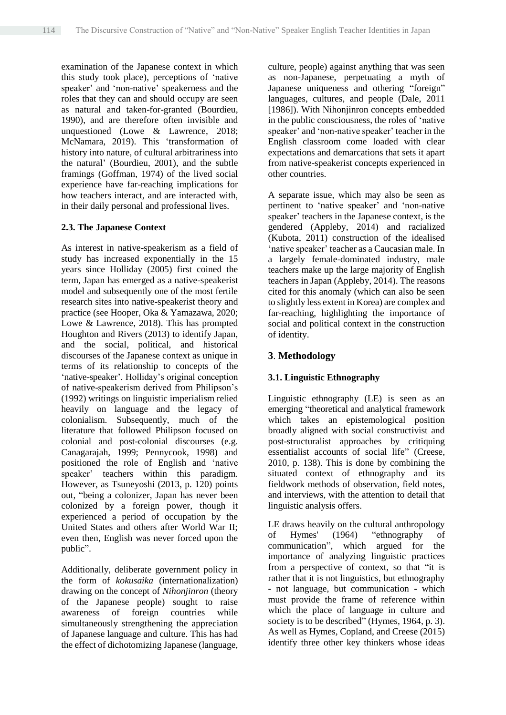examination of the Japanese context in which this study took place), perceptions of 'native speaker' and 'non-native' speakerness and the roles that they can and should occupy are seen as natural and taken-for-granted (Bourdieu, 1990), and are therefore often invisible and unquestioned (Lowe & Lawrence, 2018; McNamara, 2019). This 'transformation of history into nature, of cultural arbitrariness into the natural' (Bourdieu, 2001), and the subtle framings (Goffman, 1974) of the lived social experience have far-reaching implications for how teachers interact, and are interacted with, in their daily personal and professional lives.

#### **2.3. The Japanese Context**

As interest in native-speakerism as a field of study has increased exponentially in the 15 years since Holliday (2005) first coined the term, Japan has emerged as a native-speakerist model and subsequently one of the most fertile research sites into native-speakerist theory and practice (see Hooper, Oka & Yamazawa, 2020; Lowe & Lawrence, 2018). This has prompted Houghton and Rivers (2013) to identify Japan, and the social, political, and historical discourses of the Japanese context as unique in terms of its relationship to concepts of the 'native-speaker'. Holliday's original conception of native-speakerism derived from Philipson's (1992) writings on linguistic imperialism relied heavily on language and the legacy of colonialism. Subsequently, much of the literature that followed Philipson focused on colonial and post-colonial discourses (e.g. Canagarajah, 1999; Pennycook, 1998) and positioned the role of English and 'native speaker' teachers within this paradigm. However, as Tsuneyoshi (2013, p. 120) points out, "being a colonizer, Japan has never been colonized by a foreign power, though it experienced a period of occupation by the United States and others after World War II; even then, English was never forced upon the public".

Additionally, deliberate government policy in the form of *kokusaika* (internationalization) drawing on the concept of *Nihonjinron* (theory of the Japanese people) sought to raise awareness of foreign countries while simultaneously strengthening the appreciation of Japanese language and culture. This has had the effect of dichotomizing Japanese (language,

culture, people) against anything that was seen as non-Japanese, perpetuating a myth of Japanese uniqueness and othering "foreign" languages, cultures, and people (Dale, 2011 [1986]). With Nihoniinron concepts embedded in the public consciousness, the roles of 'native speaker' and 'non-native speaker' teacher in the English classroom come loaded with clear expectations and demarcations that sets it apart from native-speakerist concepts experienced in other countries.

A separate issue, which may also be seen as pertinent to 'native speaker' and 'non-native speaker' teachers in the Japanese context, is the gendered (Appleby, 2014) and racialized (Kubota, 2011) construction of the idealised 'native speaker' teacher as a Caucasian male. In a largely female-dominated industry, male teachers make up the large majority of English teachers in Japan (Appleby, 2014). The reasons cited for this anomaly (which can also be seen to slightly less extent in Korea) are complex and far-reaching, highlighting the importance of social and political context in the construction of identity.

### **3**. **Methodology**

#### **3.1. Linguistic Ethnography**

Linguistic ethnography (LE) is seen as an emerging "theoretical and analytical framework which takes an epistemological position broadly aligned with social constructivist and post-structuralist approaches by critiquing essentialist accounts of social life" (Creese, 2010, p. 138). This is done by combining the situated context of ethnography and its fieldwork methods of observation, field notes, and interviews, with the attention to detail that linguistic analysis offers.

LE draws heavily on the cultural anthropology of Hymes' (1964) "ethnography of communication", which argued for the importance of analyzing linguistic practices from a perspective of context, so that "it is rather that it is not linguistics, but ethnography - not language, but communication - which must provide the frame of reference within which the place of language in culture and society is to be described" (Hymes, 1964, p. 3). As well as Hymes, Copland, and Creese (2015) identify three other key thinkers whose ideas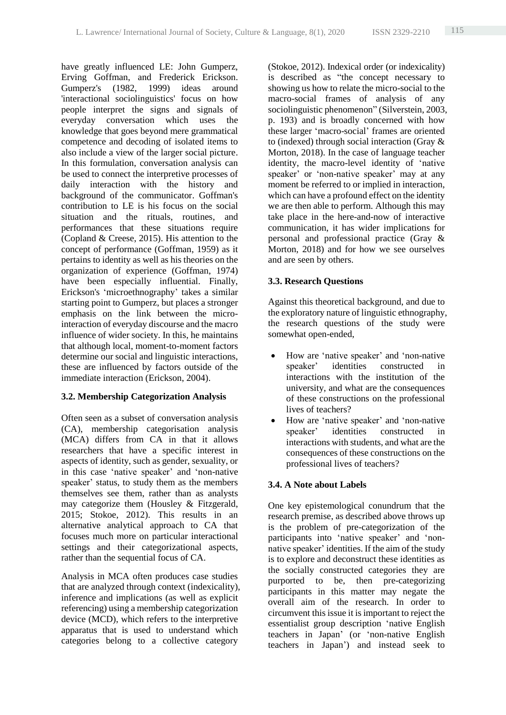have greatly influenced LE: John Gumperz, Erving Goffman, and Frederick Erickson. Gumperz's (1982, 1999) ideas around 'interactional sociolinguistics' focus on how people interpret the signs and signals of everyday conversation which uses the knowledge that goes beyond mere grammatical competence and decoding of isolated items to also include a view of the larger social picture. In this formulation, conversation analysis can be used to connect the interpretive processes of daily interaction with the history and background of the communicator. Goffman's contribution to LE is his focus on the social situation and the rituals, routines, and performances that these situations require (Copland & Creese, 2015). His attention to the concept of performance (Goffman, 1959) as it pertains to identity as well as his theories on the organization of experience (Goffman, 1974) have been especially influential. Finally, Erickson's 'microethnography' takes a similar starting point to Gumperz, but places a stronger emphasis on the link between the microinteraction of everyday discourse and the macro influence of wider society. In this, he maintains that although local, moment-to-moment factors determine our social and linguistic interactions, these are influenced by factors outside of the immediate interaction (Erickson, 2004).

# **3.2. Membership Categorization Analysis**

Often seen as a subset of conversation analysis (CA), membership categorisation analysis (MCA) differs from CA in that it allows researchers that have a specific interest in aspects of identity, such as gender, sexuality, or in this case 'native speaker' and 'non-native speaker' status, to study them as the members themselves see them, rather than as analysts may categorize them (Housley & Fitzgerald, 2015; Stokoe, 2012). This results in an alternative analytical approach to CA that focuses much more on particular interactional settings and their categorizational aspects, rather than the sequential focus of CA.

Analysis in MCA often produces case studies that are analyzed through context (indexicality), inference and implications (as well as explicit referencing) using a membership categorization device (MCD), which refers to the interpretive apparatus that is used to understand which categories belong to a collective category

(Stokoe, 2012). Indexical order (or indexicality) is described as "the concept necessary to showing us how to relate the micro-social to the macro-social frames of analysis of any sociolinguistic phenomenon" (Silverstein, 2003, p. 193) and is broadly concerned with how these larger 'macro-social' frames are oriented to (indexed) through social interaction (Gray & Morton, 2018). In the case of language teacher identity, the macro-level identity of 'native speaker' or 'non-native speaker' may at any moment be referred to or implied in interaction, which can have a profound effect on the identity we are then able to perform. Although this may take place in the here-and-now of interactive communication, it has wider implications for personal and professional practice (Gray & Morton, 2018) and for how we see ourselves and are seen by others.

# **3.3. Research Questions**

Against this theoretical background, and due to the exploratory nature of linguistic ethnography, the research questions of the study were somewhat open-ended,

- How are 'native speaker' and 'non-native speaker' identities constructed in interactions with the institution of the university, and what are the consequences of these constructions on the professional lives of teachers?
- How are 'native speaker' and 'non-native speaker' identities constructed in interactions with students, and what are the consequences of these constructions on the professional lives of teachers?

# **3.4. A Note about Labels**

One key epistemological conundrum that the research premise, as described above throws up is the problem of pre-categorization of the participants into 'native speaker' and 'nonnative speaker' identities. If the aim of the study is to explore and deconstruct these identities as the socially constructed categories they are purported to be, then pre-categorizing participants in this matter may negate the overall aim of the research. In order to circumvent this issue it is important to reject the essentialist group description 'native English teachers in Japan' (or 'non-native English teachers in Japan') and instead seek to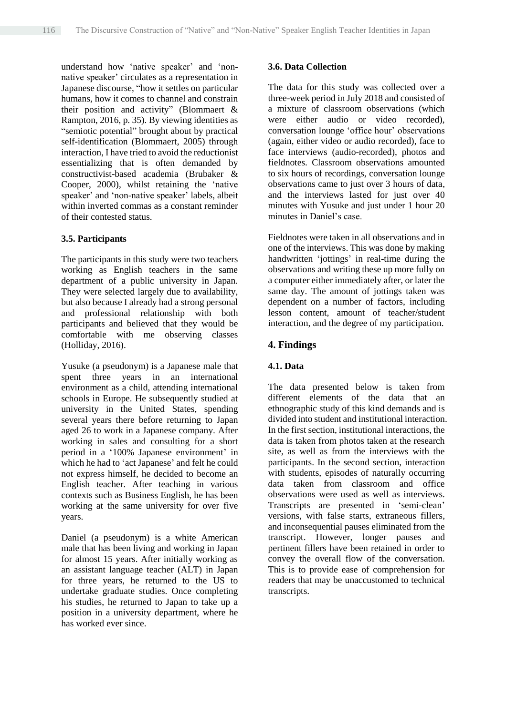understand how 'native speaker' and 'nonnative speaker' circulates as a representation in Japanese discourse, "how it settles on particular humans, how it comes to channel and constrain their position and activity" (Blommaert & Rampton, 2016, p. 35). By viewing identities as "semiotic potential" brought about by practical self-identification (Blommaert, 2005) through interaction, I have tried to avoid the reductionist essentializing that is often demanded by constructivist-based academia (Brubaker & Cooper, 2000), whilst retaining the 'native speaker' and 'non-native speaker' labels, albeit within inverted commas as a constant reminder of their contested status.

#### **3.5. Participants**

The participants in this study were two teachers working as English teachers in the same department of a public university in Japan. They were selected largely due to availability, but also because I already had a strong personal and professional relationship with both participants and believed that they would be comfortable with me observing classes (Holliday, 2016).

Yusuke (a pseudonym) is a Japanese male that spent three years in an international environment as a child, attending international schools in Europe. He subsequently studied at university in the United States, spending several years there before returning to Japan aged 26 to work in a Japanese company. After working in sales and consulting for a short period in a '100% Japanese environment' in which he had to 'act Japanese' and felt he could not express himself, he decided to become an English teacher. After teaching in various contexts such as Business English, he has been working at the same university for over five years.

Daniel (a pseudonym) is a white American male that has been living and working in Japan for almost 15 years. After initially working as an assistant language teacher (ALT) in Japan for three years, he returned to the US to undertake graduate studies. Once completing his studies, he returned to Japan to take up a position in a university department, where he has worked ever since.

#### **3.6. Data Collection**

The data for this study was collected over a three-week period in July 2018 and consisted of a mixture of classroom observations (which were either audio or video recorded). conversation lounge 'office hour' observations (again, either video or audio recorded), face to face interviews (audio-recorded), photos and fieldnotes. Classroom observations amounted to six hours of recordings, conversation lounge observations came to just over 3 hours of data, and the interviews lasted for just over 40 minutes with Yusuke and just under 1 hour 20 minutes in Daniel's case.

Fieldnotes were taken in all observations and in one of the interviews. This was done by making handwritten 'jottings' in real-time during the observations and writing these up more fully on a computer either immediately after, or later the same day. The amount of jottings taken was dependent on a number of factors, including lesson content, amount of teacher/student interaction, and the degree of my participation.

#### **4. Findings**

#### **4.1. Data**

The data presented below is taken from different elements of the data that an ethnographic study of this kind demands and is divided into student and institutional interaction. In the first section, institutional interactions, the data is taken from photos taken at the research site, as well as from the interviews with the participants. In the second section, interaction with students, episodes of naturally occurring data taken from classroom and office observations were used as well as interviews. Transcripts are presented in 'semi-clean' versions, with false starts, extraneous fillers, and inconsequential pauses eliminated from the transcript. However, longer pauses and pertinent fillers have been retained in order to convey the overall flow of the conversation. This is to provide ease of comprehension for readers that may be unaccustomed to technical transcripts.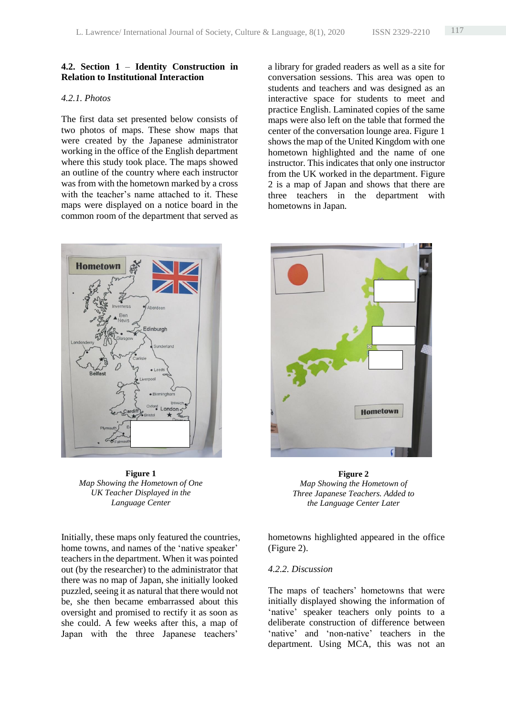#### **4.2. Section 1** – **Identity Construction in Relation to Institutional Interaction**

### *4.2.1. Photos*

The first data set presented below consists of two photos of maps. These show maps that were created by the Japanese administrator working in the office of the English department where this study took place. The maps showed an outline of the country where each instructor was from with the hometown marked by a cross with the teacher's name attached to it. These maps were displayed on a notice board in the common room of the department that served as

**Hometown** Edinburgh London

**Figure 1** *Map Showing the Hometown of One UK Teacher Displayed in the Language Center* 

Initially, these maps only featured the countries, home towns, and names of the 'native speaker' teachers in the department. When it was pointed out (by the researcher) to the administrator that there was no map of Japan, she initially looked puzzled, seeing it as natural that there would not be, she then became embarrassed about this oversight and promised to rectify it as soon as she could. A few weeks after this, a map of Japan with the three Japanese teachers'

a library for graded readers as well as a site for conversation sessions. This area was open to students and teachers and was designed as an interactive space for students to meet and practice English. Laminated copies of the same maps were also left on the table that formed the center of the conversation lounge area. Figure 1 shows the map of the United Kingdom with one hometown highlighted and the name of one instructor. This indicates that only one instructor from the UK worked in the department. Figure 2 is a map of Japan and shows that there are three teachers in the department with hometowns in Japan.



**Figure 2** *Map Showing the Hometown of Three Japanese Teachers. Added to the Language Center Later* 

hometowns highlighted appeared in the office (Figure 2).

#### *4.2.2. Discussion*

The maps of teachers' hometowns that were initially displayed showing the information of 'native' speaker teachers only points to a deliberate construction of difference between 'native' and 'non-native' teachers in the department. Using MCA, this was not an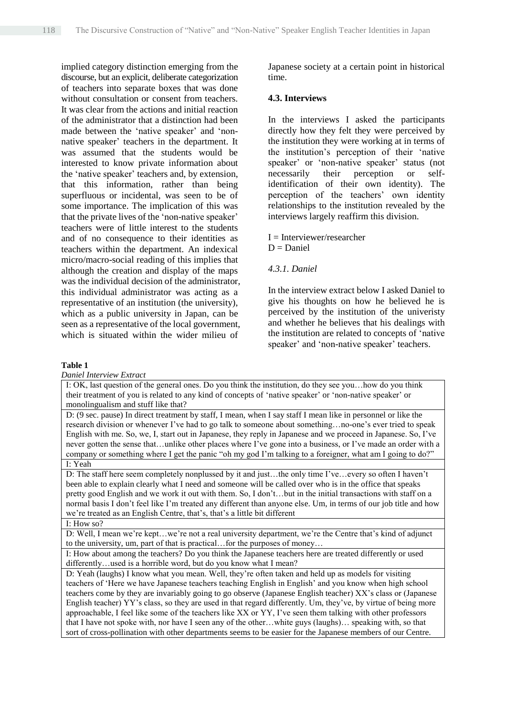implied category distinction emerging from the discourse, but an explicit, deliberate categorization of teachers into separate boxes that was done without consultation or consent from teachers. It was clear from the actions and initial reaction of the administrator that a distinction had been made between the 'native speaker' and 'nonnative speaker' teachers in the department. It was assumed that the students would be interested to know private information about the 'native speaker' teachers and, by extension, that this information, rather than being superfluous or incidental, was seen to be of some importance. The implication of this was that the private lives of the 'non-native speaker' teachers were of little interest to the students and of no consequence to their identities as teachers within the department. An indexical micro/macro-social reading of this implies that although the creation and display of the maps was the individual decision of the administrator, this individual administrator was acting as a representative of an institution (the university), which as a public university in Japan, can be seen as a representative of the local government, which is situated within the wider milieu of

Japanese society at a certain point in historical time.

### **4.3. Interviews**

In the interviews I asked the participants directly how they felt they were perceived by the institution they were working at in terms of the institution's perception of their 'native speaker' or 'non-native speaker' status (not necessarily their perception or selfidentification of their own identity). The perception of the teachers' own identity relationships to the institution revealed by the interviews largely reaffirm this division.

 $I =$ Interviewer/researcher  $D = Daniel$ 

*4.3.1. Daniel*

In the interview extract below I asked Daniel to give his thoughts on how he believed he is perceived by the institution of the univeristy and whether he believes that his dealings with the institution are related to concepts of 'native speaker' and 'non-native speaker' teachers.

#### **Table 1**

*Daniel Interview Extract*

I: OK, last question of the general ones. Do you think the institution, do they see you…how do you think their treatment of you is related to any kind of concepts of 'native speaker' or 'non-native speaker' or monolingualism and stuff like that?

D: (9 sec. pause) In direct treatment by staff, I mean, when I say staff I mean like in personnel or like the research division or whenever I've had to go talk to someone about something…no-one's ever tried to speak English with me. So, we, I, start out in Japanese, they reply in Japanese and we proceed in Japanese. So, I've never gotten the sense that…unlike other places where I've gone into a business, or I've made an order with a company or something where I get the panic "oh my god I'm talking to a foreigner, what am I going to do?" I: Yeah

D: The staff here seem completely nonplussed by it and just…the only time I've…every so often I haven't been able to explain clearly what I need and someone will be called over who is in the office that speaks pretty good English and we work it out with them. So, I don't…but in the initial transactions with staff on a normal basis I don't feel like I'm treated any different than anyone else. Um, in terms of our job title and how we're treated as an English Centre, that's, that's a little bit different

I: How so?

D: Well, I mean we're kept…we're not a real university department, we're the Centre that's kind of adjunct to the university, um, part of that is practical…for the purposes of money…

I: How about among the teachers? Do you think the Japanese teachers here are treated differently or used differently...used is a horrible word, but do you know what I mean?

D: Yeah (laughs) I know what you mean. Well, they're often taken and held up as models for visiting teachers of 'Here we have Japanese teachers teaching English in English' and you know when high school teachers come by they are invariably going to go observe (Japanese English teacher) XX's class or (Japanese English teacher) YY's class, so they are used in that regard differently. Um, they've, by virtue of being more approachable, I feel like some of the teachers like XX or YY, I've seen them talking with other professors that I have not spoke with, nor have I seen any of the other…white guys (laughs)… speaking with, so that sort of cross-pollination with other departments seems to be easier for the Japanese members of our Centre.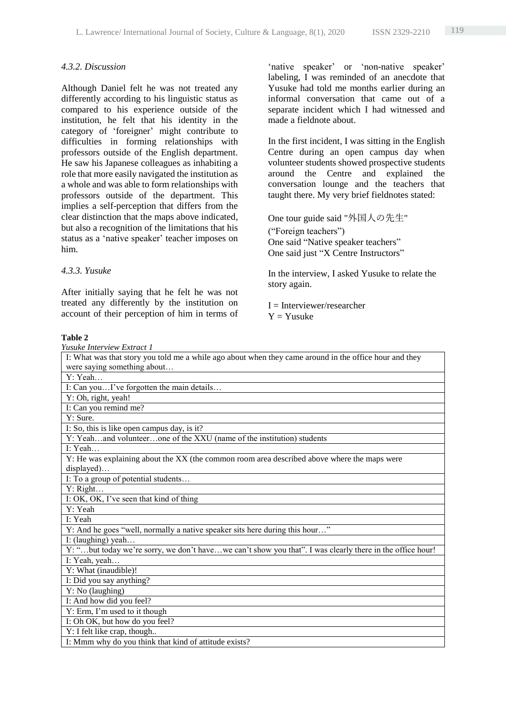### *4.3.2. Discussion*

Although Daniel felt he was not treated any differently according to his linguistic status as compared to his experience outside of the institution, he felt that his identity in the category of 'foreigner' might contribute to difficulties in forming relationships with professors outside of the English department. He saw his Japanese colleagues as inhabiting a role that more easily navigated the institution as a whole and was able to form relationships with professors outside of the department. This implies a self-perception that differs from the clear distinction that the maps above indicated, but also a recognition of the limitations that his status as a 'native speaker' teacher imposes on him.

#### *4.3.3. Yusuke*

After initially saying that he felt he was not treated any differently by the institution on account of their perception of him in terms of

'native speaker' or 'non-native speaker' labeling, I was reminded of an anecdote that Yusuke had told me months earlier during an informal conversation that came out of a separate incident which I had witnessed and made a fieldnote about.

In the first incident, I was sitting in the English Centre during an open campus day when volunteer students showed prospective students around the Centre and explained the conversation lounge and the teachers that taught there. My very brief fieldnotes stated:

One tour guide said "外国人の先生" ("Foreign teachers") One said "Native speaker teachers" One said just "X Centre Instructors"

In the interview, I asked Yusuke to relate the story again.

 $I =$ Interviewer/researcher  $Y = Y$ usuke

#### **Table 2**

| Yusuke Interview Extract 1                                                                               |
|----------------------------------------------------------------------------------------------------------|
| I: What was that story you told me a while ago about when they came around in the office hour and they   |
| were saying something about                                                                              |
| $Y:$ Yeah                                                                                                |
| I: Can youI've forgotten the main details                                                                |
| Y: Oh, right, yeah!                                                                                      |
| I: Can you remind me?                                                                                    |
| $Y:$ Sure.                                                                                               |
| I: So, this is like open campus day, is it?                                                              |
| Y: Yeahand volunteerone of the XXU (name of the institution) students                                    |
| I: Yeah                                                                                                  |
| Y: He was explaining about the XX (the common room area described above where the maps were              |
| displayed)                                                                                               |
| I: To a group of potential students                                                                      |
| Y: Right                                                                                                 |
| I: OK, OK, I've seen that kind of thing                                                                  |
| Y: Yeah                                                                                                  |
| I: Yeah                                                                                                  |
| Y: And he goes "well, normally a native speaker sits here during this hour"                              |
| I: (laughing) yeah                                                                                       |
| Y: "but today we're sorry, we don't havewe can't show you that". I was clearly there in the office hour! |
| I: Yeah, yeah                                                                                            |
| $\overline{Y}$ : What (inaudible)!                                                                       |
| I: Did you say anything?                                                                                 |
| Y: No (laughing)                                                                                         |
| I: And how did you feel?                                                                                 |
| Y: Erm, I'm used to it though                                                                            |
| I: Oh OK, but how do you feel?                                                                           |
| Y: I felt like crap, though                                                                              |
| I: Mmm why do you think that kind of attitude exists?                                                    |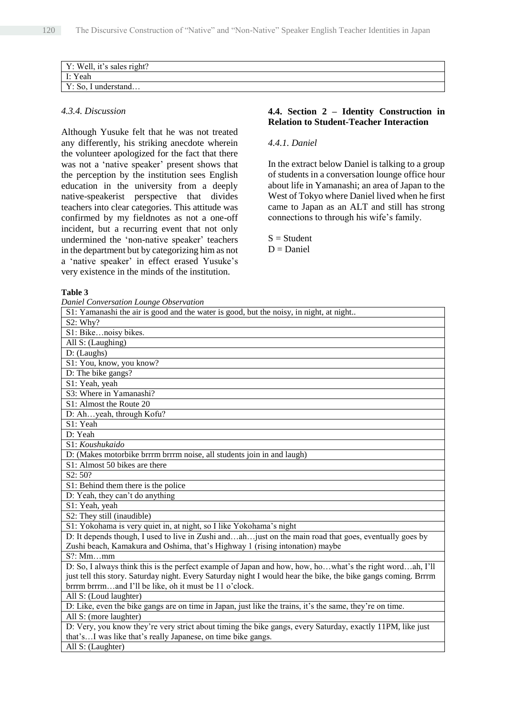| Y: Well, it's sales right?               |  |
|------------------------------------------|--|
| $\mathbf{r}$ : Yeah                      |  |
| $\mathbf{v}$<br>understand<br>$Y:$ So, 1 |  |

#### *4.3.4. Discussion*

Although Yusuke felt that he was not treated any differently, his striking anecdote wherein the volunteer apologized for the fact that there was not a 'native speaker' present shows that the perception by the institution sees English education in the university from a deeply native-speakerist perspective that divides teachers into clear categories. This attitude was confirmed by my fieldnotes as not a one-off incident, but a recurring event that not only undermined the 'non-native speaker' teachers in the department but by categorizing him as not a 'native speaker' in effect erased Yusuke's very existence in the minds of the institution.

# **4.4. Section 2 – Identity Construction in Relation to Student-Teacher Interaction**

# *4.4.1. Daniel*

In the extract below Daniel is talking to a group of students in a conversation lounge office hour about life in Yamanashi; an area of Japan to the West of Tokyo where Daniel lived when he first came to Japan as an ALT and still has strong connections to through his wife's family.

 $S = Student$  $D = Daniel$ 

#### **Table 3**

*Daniel Conversation Lounge Observation*

| S1: Yamanashi the air is good and the water is good, but the noisy, in night, at night                         |
|----------------------------------------------------------------------------------------------------------------|
| S2: Why?                                                                                                       |
| S1: Bikenoisy bikes.                                                                                           |
| All S: (Laughing)                                                                                              |
| D: (Laughs)                                                                                                    |
| S1: You, know, you know?                                                                                       |
| D: The bike gangs?                                                                                             |
| S1: Yeah, yeah                                                                                                 |
| S3: Where in Yamanashi?                                                                                        |
| S1: Almost the Route 20                                                                                        |
| D: Ahyeah, through Kofu?                                                                                       |
| S1: Yeah                                                                                                       |
| D: Yeah                                                                                                        |
| S1: Koushukaido                                                                                                |
| D: (Makes motorbike brrrm brrrm noise, all students join in and laugh)                                         |
| S1: Almost 50 bikes are there                                                                                  |
| S2: 50?                                                                                                        |
| S1: Behind them there is the police                                                                            |
| D: Yeah, they can't do anything                                                                                |
| S1: Yeah, yeah                                                                                                 |
| S2: They still (inaudible)                                                                                     |
| S1: Yokohama is very quiet in, at night, so I like Yokohama's night                                            |
| D: It depends though, I used to live in Zushi andahjust on the main road that goes, eventually goes by         |
| Zushi beach, Kamakura and Oshima, that's Highway 1 (rising intonation) maybe                                   |
| $S$ ?: Mmmm                                                                                                    |
| D: So, I always think this is the perfect example of Japan and how, how, howhat's the right wordah, I'll       |
| just tell this story. Saturday night. Every Saturday night I would hear the bike, the bike gangs coming. Brrrm |
| brrrm brrrmand I'll be like, oh it must be 11 o'clock.                                                         |
| All S: (Loud laughter)                                                                                         |
| D: Like, even the bike gangs are on time in Japan, just like the trains, it's the same, they're on time.       |
| All S: (more laughter)                                                                                         |
| D: Very, you know they're very strict about timing the bike gangs, every Saturday, exactly 11PM, like just     |
| that'sI was like that's really Japanese, on time bike gangs.                                                   |
| All S: (Laughter)                                                                                              |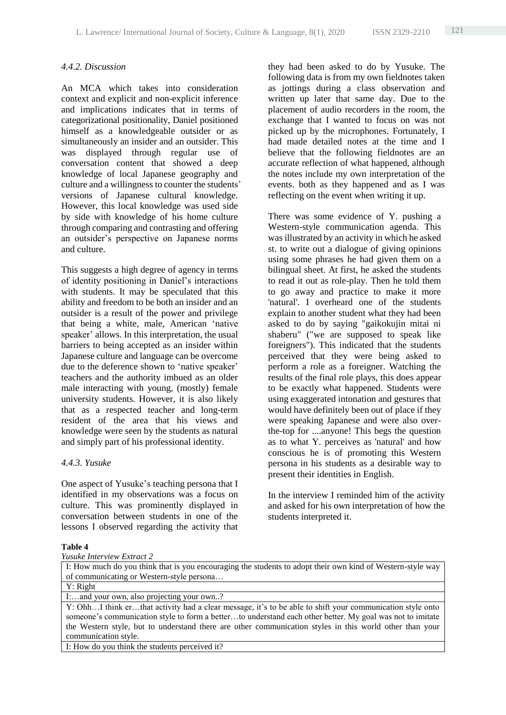# *4.4.2. Discussion*

An MCA which takes into consideration context and explicit and non-explicit inference and implications indicates that in terms of categorizational positionality, Daniel positioned himself as a knowledgeable outsider or as simultaneously an insider and an outsider. This was displayed through regular use of conversation content that showed a deep knowledge of local Japanese geography and culture and a willingness to counter the students' versions of Japanese cultural knowledge. However, this local knowledge was used side by side with knowledge of his home culture through comparing and contrasting and offering an outsider's perspective on Japanese norms and culture.

This suggests a high degree of agency in terms of identity positioning in Daniel's interactions with students. It may be speculated that this ability and freedom to be both an insider and an outsider is a result of the power and privilege that being a white, male, American 'native speaker' allows. In this interpretation, the usual barriers to being accepted as an insider within Japanese culture and language can be overcome due to the deference shown to 'native speaker' teachers and the authority imbued as an older male interacting with young, (mostly) female university students. However, it is also likely that as a respected teacher and long-term resident of the area that his views and knowledge were seen by the students as natural and simply part of his professional identity.

#### *4.4.3. Yusuke*

One aspect of Yusuke's teaching persona that I identified in my observations was a focus on culture. This was prominently displayed in conversation between students in one of the lessons I observed regarding the activity that

they had been asked to do by Yusuke. The following data is from my own fieldnotes taken as jottings during a class observation and written up later that same day. Due to the placement of audio recorders in the room, the exchange that I wanted to focus on was not picked up by the microphones. Fortunately, I had made detailed notes at the time and I believe that the following fieldnotes are an accurate reflection of what happened, although the notes include my own interpretation of the events. both as they happened and as I was reflecting on the event when writing it up.

There was some evidence of Y. pushing a Western-style communication agenda. This was illustrated by an activity in which he asked st. to write out a dialogue of giving opinions using some phrases he had given them on a bilingual sheet. At first, he asked the students to read it out as role-play. Then he told them to go away and practice to make it more 'natural'. I overheard one of the students explain to another student what they had been asked to do by saying "gaikokujin mitai ni shaberu" ("we are supposed to speak like foreigners"). This indicated that the students perceived that they were being asked to perform a role as a foreigner. Watching the results of the final role plays, this does appear to be exactly what happened. Students were using exaggerated intonation and gestures that would have definitely been out of place if they were speaking Japanese and were also overthe-top for ....anyone! This begs the question as to what Y. perceives as 'natural' and how conscious he is of promoting this Western persona in his students as a desirable way to present their identities in English.

In the interview I reminded him of the activity and asked for his own interpretation of how the students interpreted it.

#### **Table 4**

|  | <b>Yusuke Interview Extract 2</b> |  |  |
|--|-----------------------------------|--|--|
|--|-----------------------------------|--|--|

I: How much do you think that is you encouraging the students to adopt their own kind of Western-style way of communicating or Western-style persona… Y: Right I:…and your own, also projecting your own..? Y: Ohh…I think er…that activity had a clear message, it's to be able to shift your communication style onto someone's communication style to form a better...to understand each other better. My goal was not to imitate the Western style, but to understand there are other communication styles in this world other than your communication style. I: How do you think the students perceived it?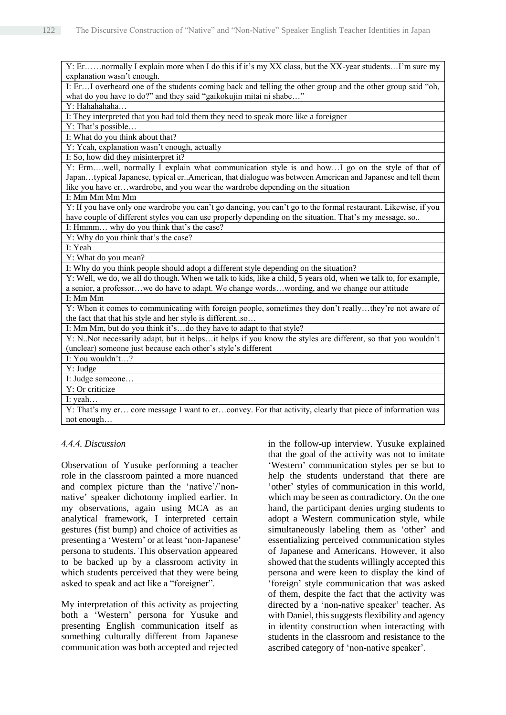Y: Er……normally I explain more when I do this if it's my XX class, but the XX-year students…I'm sure my explanation wasn't enough. I: Er…I overheard one of the students coming back and telling the other group and the other group said "oh, what do you have to do?" and they said "gaikokujin mitai ni shabe…" Y: Hahahahaha... I: They interpreted that you had told them they need to speak more like a foreigner Y: That's possible… I: What do you think about that? Y: Yeah, explanation wasn't enough, actually I: So, how did they misinterpret it? Y: Erm….well, normally I explain what communication style is and how…I go on the style of that of Japan…typical Japanese, typical er..American, that dialogue was between American and Japanese and tell them like you have er…wardrobe, and you wear the wardrobe depending on the situation I: Mm Mm Mm Mm Y: If you have only one wardrobe you can't go dancing, you can't go to the formal restaurant. Likewise, if you have couple of different styles you can use properly depending on the situation. That's my message, so.. I: Hmmm… why do you think that's the case? Y: Why do you think that's the case? I: Yeah Y: What do you mean? I: Why do you think people should adopt a different style depending on the situation? Y: Well, we do, we all do though. When we talk to kids, like a child, 5 years old, when we talk to, for example, a senior, a professor…we do have to adapt. We change words…wording, and we change our attitude I: Mm Mm Y: When it comes to communicating with foreign people, sometimes they don't really…they're not aware of the fact that that his style and her style is different..so… I: Mm Mm, but do you think it's…do they have to adapt to that style? Y: N..Not necessarily adapt, but it helps…it helps if you know the styles are different, so that you wouldn't (unclear) someone just because each other's style's different I: You wouldn't…? Y: Judge I: Judge someone… Y: Or criticize I: yeah… Y: That's my er… core message I want to er…convey. For that activity, clearly that piece of information was not enough…

#### *4.4.4. Discussion*

Observation of Yusuke performing a teacher role in the classroom painted a more nuanced and complex picture than the 'native'/'nonnative' speaker dichotomy implied earlier. In my observations, again using MCA as an analytical framework, I interpreted certain gestures (fist bump) and choice of activities as presenting a 'Western' or at least 'non-Japanese' persona to students. This observation appeared to be backed up by a classroom activity in which students perceived that they were being asked to speak and act like a "foreigner".

My interpretation of this activity as projecting both a 'Western' persona for Yusuke and presenting English communication itself as something culturally different from Japanese communication was both accepted and rejected in the follow-up interview. Yusuke explained that the goal of the activity was not to imitate 'Western' communication styles per se but to help the students understand that there are 'other' styles of communication in this world, which may be seen as contradictory. On the one hand, the participant denies urging students to adopt a Western communication style, while simultaneously labeling them as 'other' and essentializing perceived communication styles of Japanese and Americans. However, it also showed that the students willingly accepted this persona and were keen to display the kind of 'foreign' style communication that was asked of them, despite the fact that the activity was directed by a 'non-native speaker' teacher. As with Daniel, this suggests flexibility and agency in identity construction when interacting with students in the classroom and resistance to the ascribed category of 'non-native speaker'.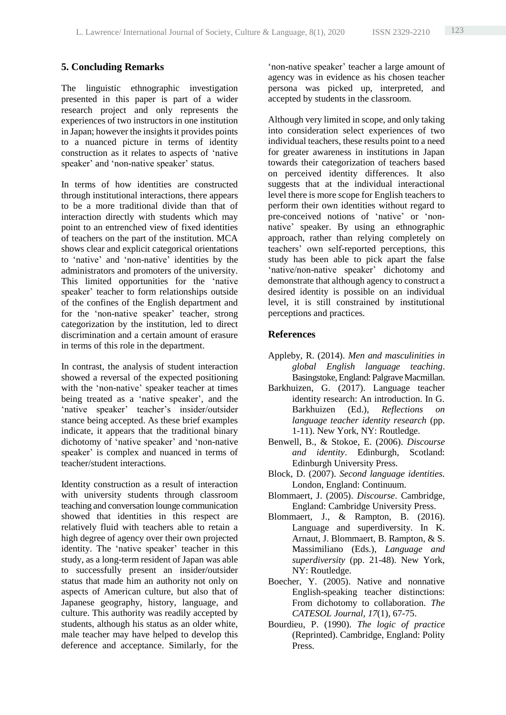# **5. Concluding Remarks**

The linguistic ethnographic investigation presented in this paper is part of a wider research project and only represents the experiences of two instructors in one institution in Japan; however the insights it provides points to a nuanced picture in terms of identity construction as it relates to aspects of 'native speaker' and 'non-native speaker' status.

In terms of how identities are constructed through institutional interactions, there appears to be a more traditional divide than that of interaction directly with students which may point to an entrenched view of fixed identities of teachers on the part of the institution. MCA shows clear and explicit categorical orientations to 'native' and 'non-native' identities by the administrators and promoters of the university. This limited opportunities for the 'native speaker' teacher to form relationships outside of the confines of the English department and for the 'non-native speaker' teacher, strong categorization by the institution, led to direct discrimination and a certain amount of erasure in terms of this role in the department.

In contrast, the analysis of student interaction showed a reversal of the expected positioning with the 'non-native' speaker teacher at times being treated as a 'native speaker', and the 'native speaker' teacher's insider/outsider stance being accepted. As these brief examples indicate, it appears that the traditional binary dichotomy of 'native speaker' and 'non-native speaker' is complex and nuanced in terms of teacher/student interactions.

Identity construction as a result of interaction with university students through classroom teaching and conversation lounge communication showed that identities in this respect are relatively fluid with teachers able to retain a high degree of agency over their own projected identity. The 'native speaker' teacher in this study, as a long-term resident of Japan was able to successfully present an insider/outsider status that made him an authority not only on aspects of American culture, but also that of Japanese geography, history, language, and culture. This authority was readily accepted by students, although his status as an older white, male teacher may have helped to develop this deference and acceptance. Similarly, for the

'non-native speaker' teacher a large amount of agency was in evidence as his chosen teacher persona was picked up, interpreted, and accepted by students in the classroom.

Although very limited in scope, and only taking into consideration select experiences of two individual teachers, these results point to a need for greater awareness in institutions in Japan towards their categorization of teachers based on perceived identity differences. It also suggests that at the individual interactional level there is more scope for English teachers to perform their own identities without regard to pre-conceived notions of 'native' or 'nonnative' speaker. By using an ethnographic approach, rather than relying completely on teachers' own self-reported perceptions, this study has been able to pick apart the false 'native/non-native speaker' dichotomy and demonstrate that although agency to construct a desired identity is possible on an individual level, it is still constrained by institutional perceptions and practices.

# **References**

- Appleby, R. (2014). *Men and masculinities in global English language teaching*. Basingstoke, England: Palgrave Macmillan.
- Barkhuizen, G. (2017). Language teacher identity research: An introduction. In G. Barkhuizen (Ed.), *Reflections on language teacher identity research* (pp. 1-11). New York, NY: Routledge.
- Benwell, B., & Stokoe, E. (2006). *Discourse and identity*. Edinburgh, Scotland: Edinburgh University Press.
- Block, D. (2007). *Second language identities.*  London, England: Continuum.
- Blommaert, J. (2005). *Discourse*. Cambridge, England: Cambridge University Press.
- Blommaert, J., & Rampton, B. (2016). Language and superdiversity. In K. Arnaut, J. Blommaert, B. Rampton, & S. Massimiliano (Eds.), *Language and superdiversity* (pp. 21-48). New York, NY: Routledge.
- Boecher, Y. (2005). Native and nonnative English-speaking teacher distinctions: From dichotomy to collaboration. *The CATESOL Journal, 17*(1), 67-75.
- Bourdieu, P. (1990). *The logic of practice* (Reprinted). Cambridge, England: Polity Press.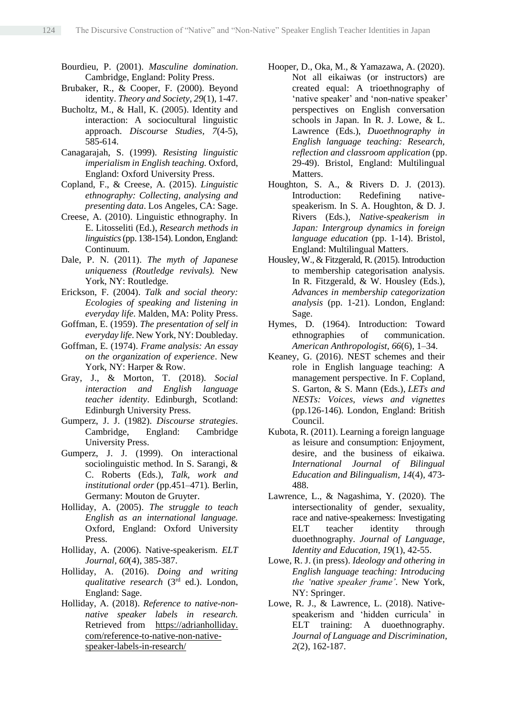- Bourdieu, P. (2001). *Masculine domination*. Cambridge, England: Polity Press.
- Brubaker, R., & Cooper, F. (2000). Beyond identity. *Theory and Society, 29*(1), 1-47.
- Bucholtz, M., & Hall, K. (2005). Identity and interaction: A sociocultural linguistic approach. *Discourse Studies, 7*(4-5), 585-614.
- Canagarajah, S. (1999). *Resisting linguistic imperialism in English teaching.* Oxford, England: Oxford University Press.
- Copland, F., & Creese, A. (2015). *Linguistic ethnography: Collecting, analysing and presenting data*. Los Angeles, CA: Sage.
- Creese, A. (2010). Linguistic ethnography. In E. Litosseliti (Ed.), *Research methods in linguistics* (pp. 138-154). London, England: Continuum.
- Dale, P. N. (2011). *The myth of Japanese uniqueness (Routledge revivals).* New York, NY: Routledge.
- Erickson, F. (2004). *Talk and social theory: Ecologies of speaking and listening in everyday life*. Malden, MA: Polity Press.
- Goffman, E. (1959). *The presentation of self in everyday life*. New York, NY: Doubleday.
- Goffman, E. (1974). *Frame analysis: An essay on the organization of experience*. New York, NY: Harper & Row.
- Gray, J., & Morton, T. (2018). *Social interaction and English language teacher identity*. Edinburgh, Scotland: Edinburgh University Press.
- Gumperz, J. J. (1982). *Discourse strategies*. Cambridge, England: Cambridge University Press.
- Gumperz, J. J. (1999). On interactional sociolinguistic method. In S. Sarangi, & C. Roberts (Eds.), *Talk, work and institutional order* (pp.451–471)*.* Berlin, Germany: Mouton de Gruyter.
- Holliday, A. (2005). *The struggle to teach English as an international language.* Oxford, England: Oxford University Press.
- Holliday, A. (2006). Native-speakerism. *ELT Journal, 60*(4), 385-387.
- Holliday, A. (2016). *Doing and writing qualitative research* (3rd ed.). London, England: Sage.
- Holliday, A. (2018). *Reference to native-nonnative speaker labels in research.* Retrieved from https://adrianholliday. com/reference-to-native-non-nativespeaker-labels-in-research/
- Hooper, D., Oka, M., & Yamazawa, A. (2020). Not all eikaiwas (or instructors) are created equal: A trioethnography of 'native speaker' and 'non-native speaker' perspectives on English conversation schools in Japan. In R. J. Lowe, & L. Lawrence (Eds.), *Duoethnography in English language teaching: Research, reflection and classroom application* (pp. 29-49). Bristol, England: Multilingual Matters.
- Houghton, S. A., & Rivers D. J. (2013). Introduction: Redefining nativespeakerism. In S. A. Houghton, & D. J. Rivers (Eds.), *Native-speakerism in Japan: Intergroup dynamics in foreign language education* (pp. 1-14). Bristol, England: Multilingual Matters.
- Housley, W., & Fitzgerald, R. (2015). Introduction to membership categorisation analysis. In R. Fitzgerald, & W. Housley (Eds.), *Advances in membership categorization analysis* (pp. 1-21). London, England: Sage.
- Hymes, D. (1964). Introduction: Toward ethnographies of communication. *American Anthropologist, 66*(6), 1–34.
- Keaney, G. (2016). NEST schemes and their role in English language teaching: A management perspective. In F. Copland, S. Garton, & S. Mann (Eds.), *LETs and NESTs: Voices, views and vignettes* (pp.126-146)*.* London, England: British Council.
- Kubota, R. (2011). Learning a foreign language as leisure and consumption: Enjoyment, desire, and the business of eikaiwa. *International Journal of Bilingual Education and Bilingualism, 14*(4), 473- 488.
- Lawrence, L., & Nagashima, Y. (2020). The intersectionality of gender, sexuality, race and native-speakerness: Investigating ELT teacher identity through duoethnography. *Journal of Language, Identity and Education, 19*(1), 42-55.
- Lowe, R. J. (in press). *Ideology and othering in English language teaching: Introducing the 'native speaker frame'*. New York, NY: Springer.
- Lowe, R. J., & Lawrence, L. (2018). Nativespeakerism and 'hidden curricula' in ELT training: A duoethnography. *Journal of Language and Discrimination, 2*(2), 162-187.